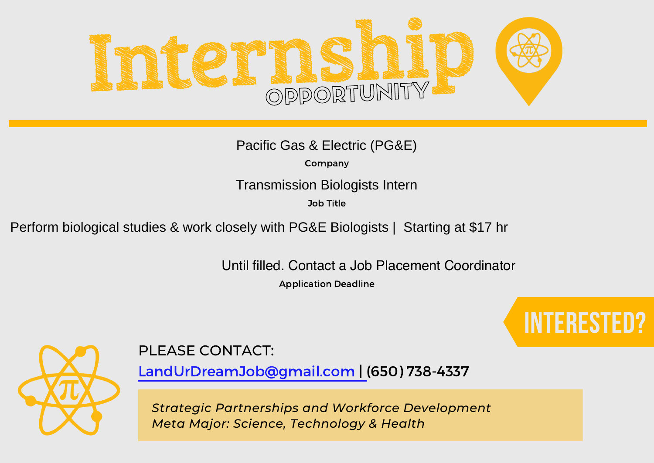

Company

Transmission Biologists Intern

Job Title

Perform biological studies & work closely with PG&E Biologists | Starting at \$17 hr

Until filled. Contact a Job Placement Coordinator

Application Deadline





## PLEASE CONTACT:

LandUrDreamJob@gmail.com | (650) 738-4337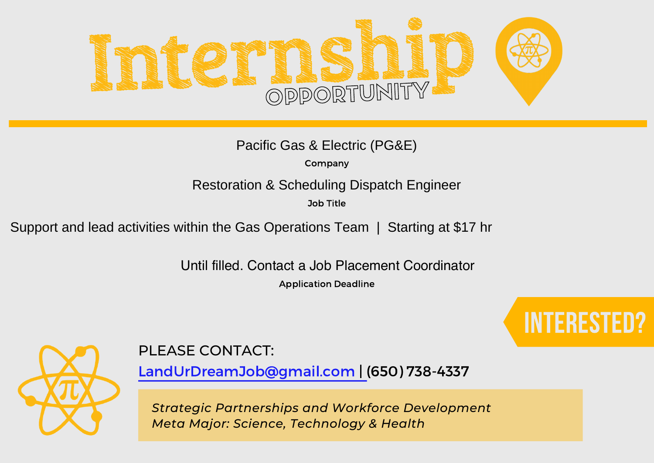

Company

Restoration & Scheduling Dispatch Engineer

Job Title

Support and lead activities within the Gas Operations Team | Starting at \$17 hr

Until filled. Contact a Job Placement Coordinator

Application Deadline





PLEASE CONTACT:

LandUrDreamJob@gmail.com | (650) 738-4337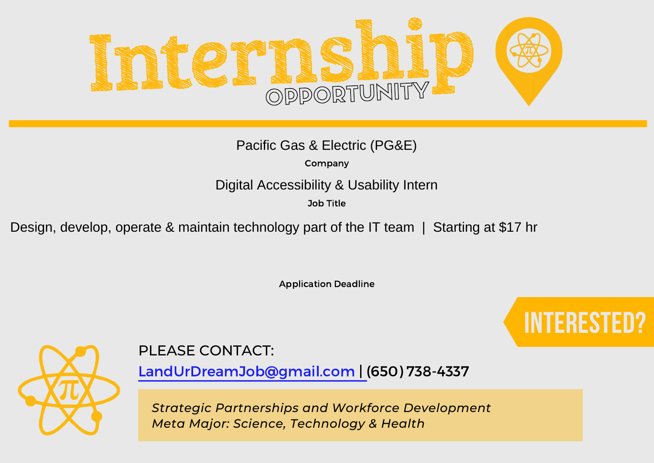

Company

#### Digital Accessibility & Usability Intern

Job Title

Design, develop, operate & maintain technology part of the IT team | Starting at \$17 hr

Application Deadline





### PLEASE CONTACT:

LandUrDreamJob@gmail.com | (650) 738-4337